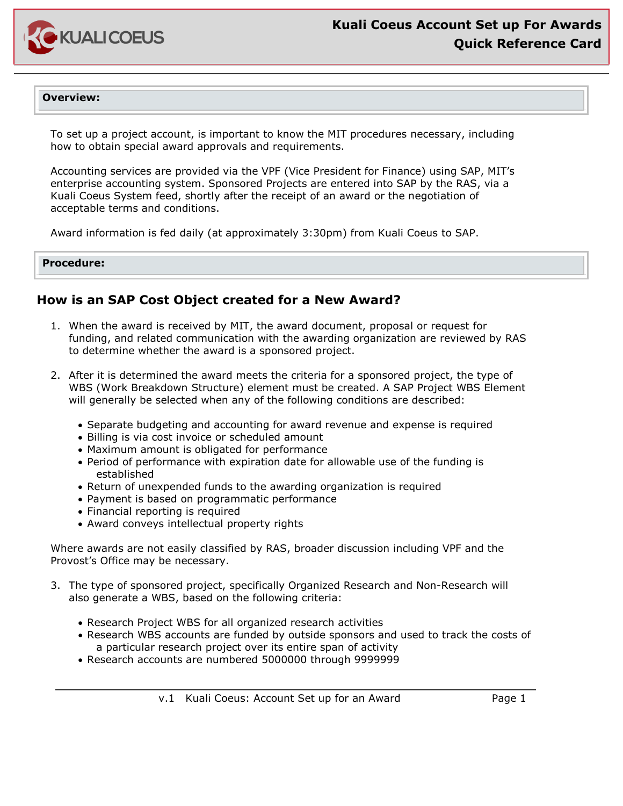

#### **Overview:**

To set up a project account, is important to know the MIT procedures necessary, including how to obtain special award approvals and requirements.

Accounting services are provided via the VPF (Vice President for Finance) using SAP, MIT's enterprise accounting system. Sponsored Projects are entered into SAP by the RAS, via a Kuali Coeus System feed, shortly after the receipt of an award or the negotiation of acceptable terms and conditions.

Award information is fed daily (at approximately 3:30pm) from Kuali Coeus to SAP.

#### **Procedure:**

### **How is an SAP Cost Object created for a New Award?**

- 1. When the award is received by MIT, the award document, proposal or request for funding, and related communication with the awarding organization are reviewed by RAS to determine whether the award is a sponsored project.
- 2. After it is determined the award meets the criteria for a sponsored project, the type of WBS (Work Breakdown Structure) element must be created. A SAP Project WBS Element will generally be selected when any of the following conditions are described:
	- Separate budgeting and accounting for award revenue and expense is required
	- Billing is via cost invoice or scheduled amount
	- Maximum amount is obligated for performance
	- Period of performance with expiration date for allowable use of the funding is established
	- Return of unexpended funds to the awarding organization is required
	- Payment is based on programmatic performance
	- Financial reporting is required
	- Award conveys intellectual property rights

Where awards are not easily classified by RAS, broader discussion including VPF and the Provost's Office may be necessary.

- 3. The type of sponsored project, specifically Organized Research and Non-Research will also generate a WBS, based on the following criteria:
	- Research Project WBS for all organized research activities
	- Research WBS accounts are funded by outside sponsors and used to track the costs of a particular research project over its entire span of activity
	- Research accounts are numbered 5000000 through 9999999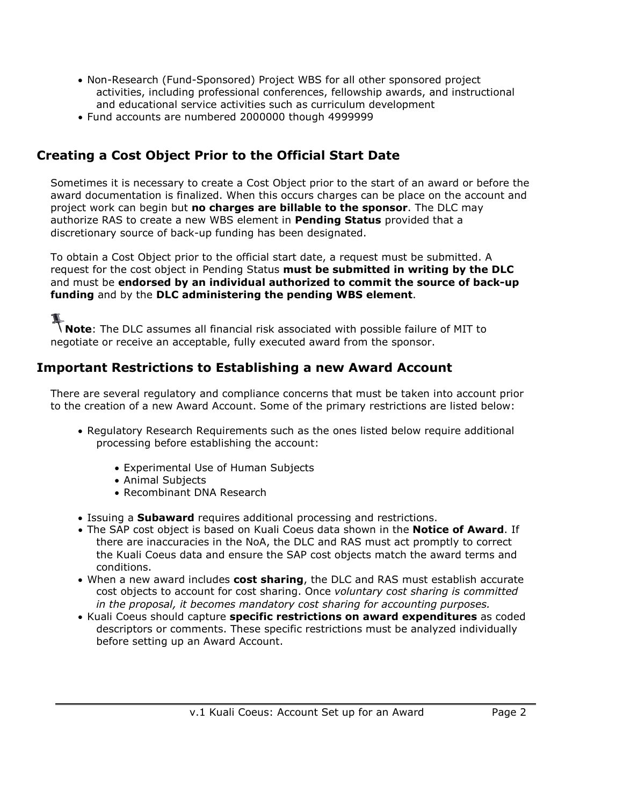- Non-Research (Fund-Sponsored) Project WBS for all other sponsored project activities, including professional conferences, fellowship awards, and instructional and educational service activities such as curriculum development
- Fund accounts are numbered 2000000 though 4999999

## **Creating a Cost Object Prior to the Official Start Date**

Sometimes it is necessary to create a Cost Object prior to the start of an award or before the award documentation is finalized. When this occurs charges can be place on the account and project work can begin but **no charges are billable to the sponsor**. The DLC may authorize RAS to create a new WBS element in **Pending Status** provided that a discretionary source of back-up funding has been designated.

To obtain a Cost Object prior to the official start date, a request must be submitted. A request for the cost object in Pending Status **must be submitted in writing by the DLC** and must be **endorsed by an individual authorized to commit the source of back-up funding** and by the **DLC administering the pending WBS element**.

**Note**: The DLC assumes all financial risk associated with possible failure of MIT to negotiate or receive an acceptable, fully executed award from the sponsor.

### **Important Restrictions to Establishing a new Award Account**

There are several regulatory and compliance concerns that must be taken into account prior to the creation of a new Award Account. Some of the primary restrictions are listed below:

- Regulatory Research Requirements such as the ones listed below require additional processing before establishing the account:
	- Experimental Use of Human Subjects
	- Animal Subjects

 $\overline{a}$ 

- Recombinant DNA Research
- Issuing a **Subaward** requires additional processing and restrictions.
- The SAP cost object is based on Kuali Coeus data shown in the **Notice of Award**. If there are inaccuracies in the NoA, the DLC and RAS must act promptly to correct the Kuali Coeus data and ensure the SAP cost objects match the award terms and conditions.
- When a new award includes **cost sharing**, the DLC and RAS must establish accurate cost objects to account for cost sharing. Once *voluntary cost sharing is committed in the proposal, it becomes mandatory cost sharing for accounting purposes.*
- Kuali Coeus should capture **specific restrictions on award expenditures** as coded descriptors or comments. These specific restrictions must be analyzed individually before setting up an Award Account.